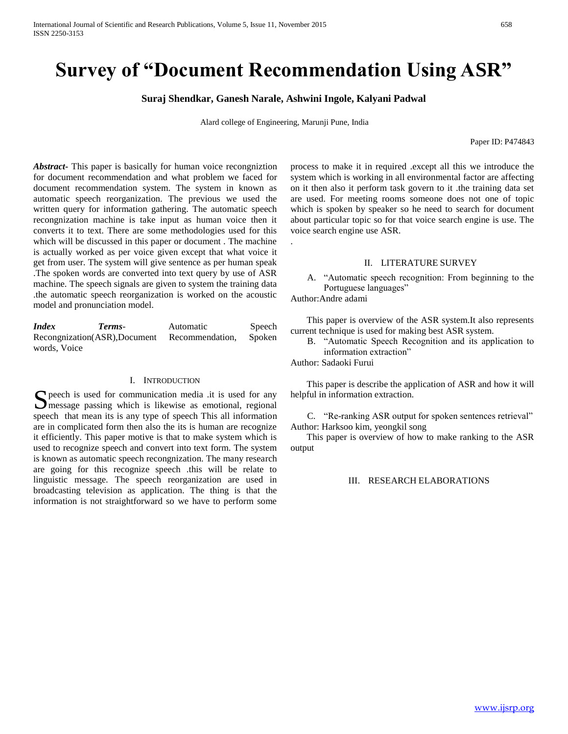# **Survey of "Document Recommendation Using ASR"**

**Suraj Shendkar, Ganesh Narale, Ashwini Ingole, Kalyani Padwal**

Alard college of Engineering, Marunji Pune, India

.

Paper ID: P474843

*Abstract***-** This paper is basically for human voice recongniztion for document recommendation and what problem we faced for document recommendation system. The system in known as automatic speech reorganization. The previous we used the written query for information gathering. The automatic speech recongnization machine is take input as human voice then it converts it to text. There are some methodologies used for this which will be discussed in this paper or document . The machine is actually worked as per voice given except that what voice it get from user. The system will give sentence as per human speak .The spoken words are converted into text query by use of ASR machine. The speech signals are given to system the training data .the automatic speech reorganization is worked on the acoustic model and pronunciation model.

*Index Terms*- Automatic Speech Recongnization(ASR),Document Recommendation, Spoken words, Voice

# I. INTRODUCTION

peech is used for communication media .it is used for any S peech is used for communication media .it is used for any message passing which is likewise as emotional, regional speech that mean its is any type of speech This all information are in complicated form then also the its is human are recognize it efficiently. This paper motive is that to make system which is used to recognize speech and convert into text form. The system is known as automatic speech recongnization. The many research are going for this recognize speech .this will be relate to linguistic message. The speech reorganization are used in broadcasting television as application. The thing is that the information is not straightforward so we have to perform some

process to make it in required .except all this we introduce the system which is working in all environmental factor are affecting on it then also it perform task govern to it .the training data set are used. For meeting rooms someone does not one of topic which is spoken by speaker so he need to search for document about particular topic so for that voice search engine is use. The voice search engine use ASR.

#### II. LITERATURE SURVEY

A. "Automatic speech recognition: From beginning to the Portuguese languages"

Author:Andre adami

 This paper is overview of the ASR system.It also represents current technique is used for making best ASR system.

B. "Automatic Speech Recognition and its application to information extraction"

Author: Sadaoki Furui

 This paper is describe the application of ASR and how it will helpful in information extraction.

C. "Re-ranking ASR output for spoken sentences retrieval" Author: Harksoo kim, yeongkil song

 This paper is overview of how to make ranking to the ASR output

III. RESEARCH ELABORATIONS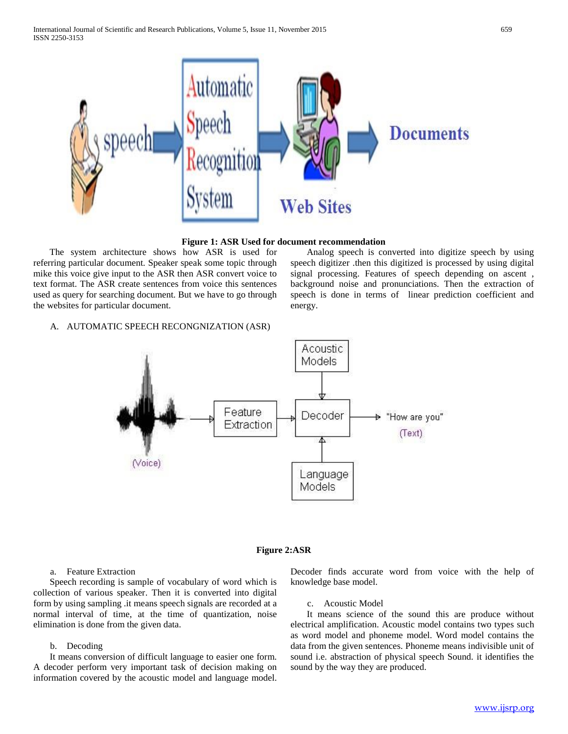

## **Figure 1: ASR Used for document recommendation**

 The system architecture shows how ASR is used for referring particular document. Speaker speak some topic through mike this voice give input to the ASR then ASR convert voice to text format. The ASR create sentences from voice this sentences used as query for searching document. But we have to go through the websites for particular document.

 Analog speech is converted into digitize speech by using speech digitizer .then this digitized is processed by using digital signal processing. Features of speech depending on ascent , background noise and pronunciations. Then the extraction of speech is done in terms of linear prediction coefficient and energy.

# A. AUTOMATIC SPEECH RECONGNIZATION (ASR)



# **Figure 2:ASR**

#### a. Feature Extraction

 Speech recording is sample of vocabulary of word which is collection of various speaker. Then it is converted into digital form by using sampling .it means speech signals are recorded at a normal interval of time, at the time of quantization, noise elimination is done from the given data.

# b. Decoding

 It means conversion of difficult language to easier one form. A decoder perform very important task of decision making on information covered by the acoustic model and language model. Decoder finds accurate word from voice with the help of knowledge base model.

#### c. Acoustic Model

 It means science of the sound this are produce without electrical amplification. Acoustic model contains two types such as word model and phoneme model. Word model contains the data from the given sentences. Phoneme means indivisible unit of sound i.e. abstraction of physical speech Sound. it identifies the sound by the way they are produced.